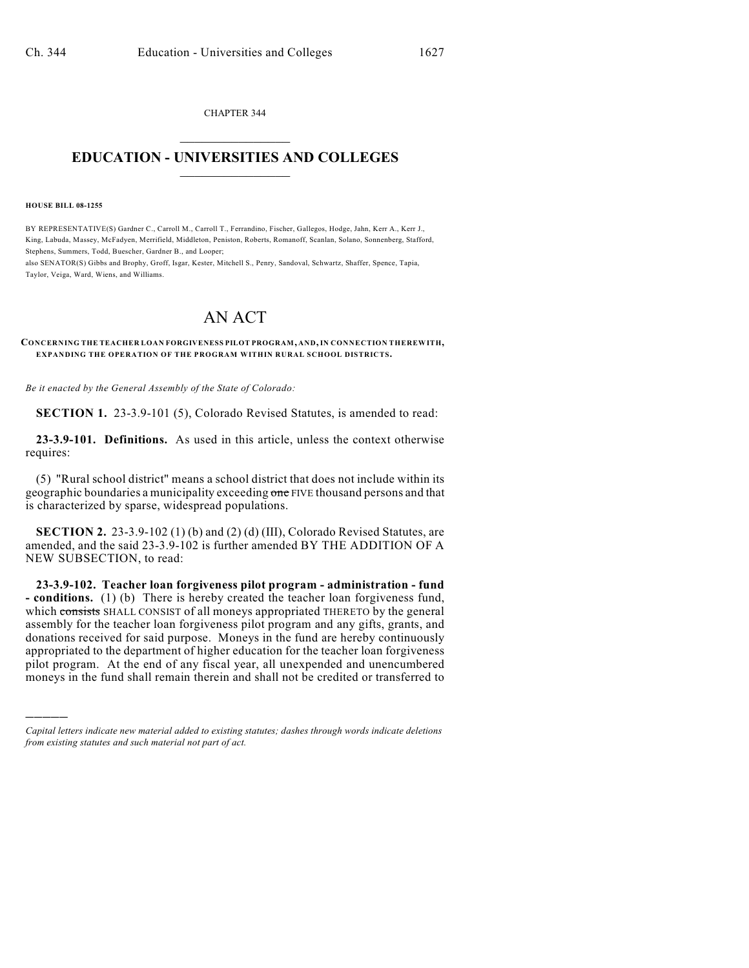CHAPTER 344  $\overline{\phantom{a}}$  . The set of the set of the set of the set of the set of the set of the set of the set of the set of the set of the set of the set of the set of the set of the set of the set of the set of the set of the set o

## **EDUCATION - UNIVERSITIES AND COLLEGES**  $\_$

**HOUSE BILL 08-1255**

)))))

BY REPRESENTATIVE(S) Gardner C., Carroll M., Carroll T., Ferrandino, Fischer, Gallegos, Hodge, Jahn, Kerr A., Kerr J., King, Labuda, Massey, McFadyen, Merrifield, Middleton, Peniston, Roberts, Romanoff, Scanlan, Solano, Sonnenberg, Stafford, Stephens, Summers, Todd, Buescher, Gardner B., and Looper;

also SENATOR(S) Gibbs and Brophy, Groff, Isgar, Kester, Mitchell S., Penry, Sandoval, Schwartz, Shaffer, Spence, Tapia, Taylor, Veiga, Ward, Wiens, and Williams.

## AN ACT

**CONCERNING THE TEACHER LOAN FORGIVENESS PILOT PROGRAM, AND, IN CONNECTION THEREWITH, EXPANDING THE OPERATION OF THE PROGRAM WITHIN RURAL SCHOOL DISTRICTS.**

*Be it enacted by the General Assembly of the State of Colorado:*

**SECTION 1.** 23-3.9-101 (5), Colorado Revised Statutes, is amended to read:

**23-3.9-101. Definitions.** As used in this article, unless the context otherwise requires:

(5) "Rural school district" means a school district that does not include within its geographic boundaries a municipality exceeding one FIVE thousand persons and that is characterized by sparse, widespread populations.

**SECTION 2.** 23-3.9-102 (1) (b) and (2) (d) (III), Colorado Revised Statutes, are amended, and the said 23-3.9-102 is further amended BY THE ADDITION OF A NEW SUBSECTION, to read:

**23-3.9-102. Teacher loan forgiveness pilot program - administration - fund - conditions.** (1) (b) There is hereby created the teacher loan forgiveness fund, which consists SHALL CONSIST of all moneys appropriated THERETO by the general assembly for the teacher loan forgiveness pilot program and any gifts, grants, and donations received for said purpose. Moneys in the fund are hereby continuously appropriated to the department of higher education for the teacher loan forgiveness pilot program. At the end of any fiscal year, all unexpended and unencumbered moneys in the fund shall remain therein and shall not be credited or transferred to

*Capital letters indicate new material added to existing statutes; dashes through words indicate deletions from existing statutes and such material not part of act.*